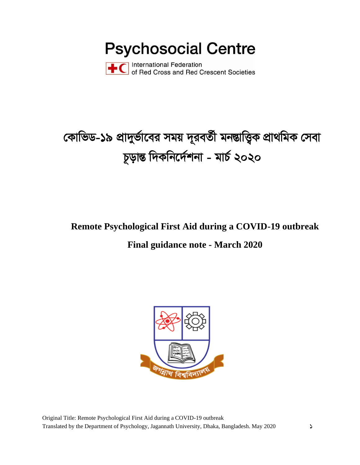**Psychosocial Centre** 



**International Federation** of Red Cross and Red Crescent Societies

# কোভিড-১৯ প্রাদুর্ভাবের সময় দূরবর্তী মনম্ভাত্ত্বিক প্রাথমিক সেবা চূড়ান্ত দিকনিৰ্দেশনা - মাৰ্চ ২০২০

# Remote Psychological First Aid during a COVID-19 outbreak

# **Final guidance note - March 2020**

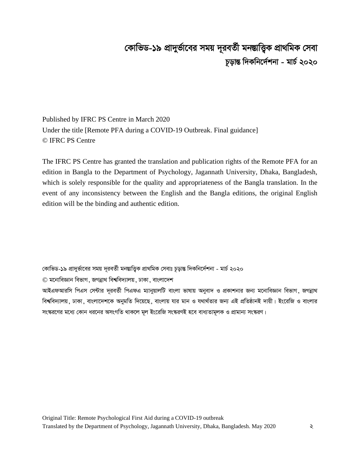# দোভিড-১৯ প্রাদুর্ভাবের সময় দূরবর্তী মনম্ভাত্ত্বিক প্রাথমিক সেবা  $\frac{1}{2}$ ড়ান্ত দিকনির্দেশনা - মার্চ ২০২০

Published by IFRC PS Centre in March 2020 Under the title [Remote PFA during a COVID-19 Outbreak. Final guidance] © IFRC PS Centre

The IFRC PS Centre has granted the translation and publication rights of the Remote PFA for an edition in Bangla to the Department of Psychology, Jagannath University, Dhaka, Bangladesh, which is solely responsible for the quality and appropriateness of the Bangla translation. In the event of any inconsistency between the English and the Bangla editions, the original English edition will be the binding and authentic edition.

কোভিড-১৯ প্রাদুর্ভাবের সময় দূরবর্তী মনম্ভাত্তিক প্রাথমিক সেবাঃ চূড়ান্ত দিকনির্দেশনা - মার্চ ২০২০

 $\odot$  মনোবিজ্ঞান বিভাগ, জগন্নাথ বিশ্ববিদ্যালয়, ঢাকা, বাংলাদেশ

আইএফআরসি পিএস সেন্টার দূরবর্তী পিএফএ ম্যানুয়ালটি বাংলা ভাষায় অনুবাদ ও প্রকাশনার জন্য মনোবিজ্ঞান বিভাগ, জগন্নাথ বিশ্ববিদ্যালয়, ঢাকা, বাংলাদেশকে অনুমতি দিয়েছে, বাংলায় যার মান ও যথার্থতার জন্য এই প্রতিষ্ঠানই দায়ী। ইংরেজি ও বাংলার সংস্করণের মধ্যে কোন ধরনের অসংগতি থাকলে মূল ইংরেজি সংস্করণই হবে বাধ্যতামূলক ও প্রামান্য সংস্করণ।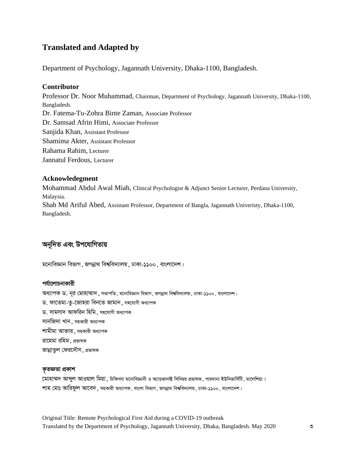## **Translated and Adapted by**

Department of Psychology, Jagannath University, Dhaka-1100, Bangladesh.

#### **Contributor**

Professor Dr. Noor Muhammad, Chairman, Department of Psychology, Jagannath University, Dhaka-1100, Bangladesh. Dr. Fatema-Tu-Zohra Binte Zaman, Associate Professor Dr. Samsad Afrin Himi, Associate Professor Sanjida Khan, Assistant Professor Shamima Akter, Assistant Professor Rahama Rahim, Lecturer Jannatul Ferdous, Lecturer

#### **Acknowledegment**

Mohammad Abdul Awal Miah, Clinical Psychologist & Adjunct Senior Lecturer, Perdana University, Malaysia. Shah Md Ariful Abed, Assistant Professor, Department of Bangla, Jagannath Univeristy, Dhaka-1100, Bangladesh.

## **Ab~w`Z Ges Dc‡hvwMZvq**

মনোবিজ্ঞান বিভাগ, জগন্নাথ বিশ্ববিদ্যালয়, ঢাকা-১১০০, বাংলাদেশ।

#### পৰ্যালোচনাকারী

অধ্যাপক ড. নূর মোহাম্মাদ, সভাপতি, মনোবিজ্ঞান বিভাগ, জগন্নাথ বিশ্ববিদ্যালয়, ঢাকা-১১০০, বাংলাদেশ। ড. ফাতেমা-তু-জোহরা বিনতে জামান, সহযোগী অধ্যাপক ড. সামসাদ আফরিন হিমি, সহযোগী অধ্যাপক সানজিদা খান, সহকারী অধ্যাপক শামীমা আক্তার, সহকারী অধ্যাপক রাহেমা রহিম, প্রভাষক জান্নাতল ফেরদৌস, প্রভাষক

#### কতজ্ঞতা প্ৰকাশ

মোহাম্মদ আব্দল আওয়াল মিয়া , চিকিৎসা মনোবিজ্ঞানী ও অ্যাডজানক্ট সিনিয়র প্রভাষক, পারদানা ইউনিভার্সিটি, মালেশিয়া। <u>শাহ মোঃ আরিফুল আবেদ, সহকারী অধ্যাপক, বাংলা বিভাগ, জগন্নাথ বিশ্ববিদ্যালয়, ঢাকা-১১০০, বাংলাদেশ।</u>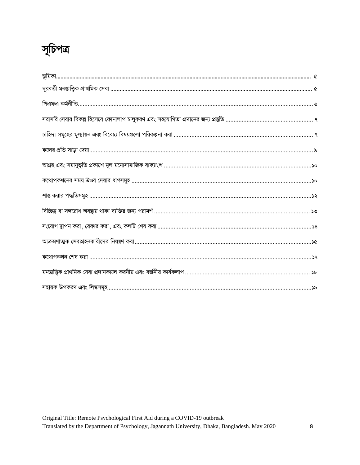# সূচিপত্র

| চাহিদা সমূহের মূল্যায়ন এবং বিবেচ্য বিষয়গুলো পরিকল্পনা করা …………………………………………………………………… ৭                 |
|----------------------------------------------------------------------------------------------------------|
|                                                                                                          |
|                                                                                                          |
|                                                                                                          |
|                                                                                                          |
| বিচ্ছিন্ন বা সঙ্গরোধ অবন্থায় থাকা ব্যক্তির জন্য পরাম <mark>র্শ</mark> ……………………………………………………………………………… ১৩ |
| সংযোগ স্থাপন করা, রেফার করা, এবং কলটি শেষ করা ………………………………………………………………………………………… ১৪                      |
|                                                                                                          |
|                                                                                                          |
| মনম্ভাত্ত্বিক প্রাথমিক সেবা প্রদানকালে করনীয় এবং বর্জনীয় কার্যকলাপ ……………………………………………………………… ১৮         |
|                                                                                                          |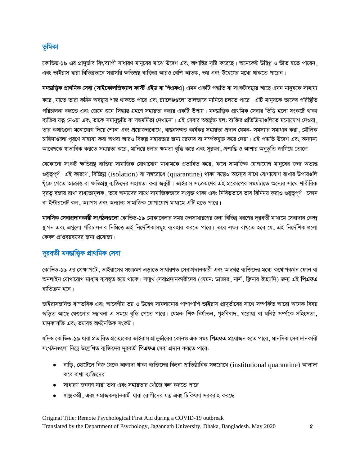## ভূমিকা

কোভিড-১৯ এর প্রাদুর্ভাব বিশ্বব্যাপী সাধারণ মানুষের মাঝে উদ্বেগ এবং অশান্তির সৃষ্টি করেছে। অনেকেই উদ্বিগ্ন ও ভীত হতে পারেন, এবং ভাইরাস দ্বারা বিভিন্নভাবে সরাসরি ক্ষতিগ্রন্থ ব্যক্তিরা আরও বেশি আতঙ্ক, ভয় এবং উদ্বেগের মধ্যে থাকতে পারেন।

মনম্ভাত্তিক প্ৰাথমিক সেবা (সাইকোলজিক্যাল ফাৰ্স্ট এইড বা পিএফএ) এমন একটি পদ্ধতি যা সংকটাবন্থায় আছে এমন মানুষকে সাহায্য করে, যাতে তারা কঠিন অবষ্থায় শান্ত থাকতে পারে এবং চ্যালেঞ্জণ্ডলো ভালভাবে মানিয়ে চলতে পারে। এটি মানুষকে তাদের পরিষ্থিতি পরিচালনা করতে এবং জেনে শুনে সিদ্ধান্ত গ্রহণে সহায়তা করার একটি উপায়। মনস্তাত্ত্বিক প্রাথমিক সেবার ভিত্তি হলো সংকটে থাকা ব্যক্তির যত্ন নেওয়া এবং তাকে সমানুভূতি বা সহমর্মিতা দেখানো। এই সেবার অন্তর্ভূক্ত হল: ব্যক্তির প্রতিক্রিয়াগুলিতে মনোযোগ দেওয়া , তার কথাগুলো মনোযোগ দিয়ে শোনা এবং প্রয়োজনবোধে, বান্তবসম্মত কার্যকর সহায়তা প্রদান যেমন- সমস্যার সমাধান করা, মৌলিক চাহিদাগুলো পূরণে সাহায্য করা অথবা আরও বিকল্প সহায়তার জন্য রেফার বা সর্ম্পকযুক্ত করে দেয়া। এই পদ্ধতি উদ্বেগ এবং অন্যান্য আবেগকে স্বাভাবিক করতে সহায়তা করে, মানিয়ে চলার ক্ষমতা বৃদ্ধি করে এবং সুরক্ষা, প্রশান্তি ও আশার অনুভূতি জাগিয়ে তোলে।

যেকোনো সংকট ক্ষতিগ্রন্থ ব্যক্তির সামাজিক যোগাযোগ মাধ্যমকে প্রভাবিত করে, ফলে সামাজিক যোগাযোগ মানুষের জন্য অত্যন্ত গুরুত্বপূর্ণ। এই কারণে, বিচ্ছিন্ন (isolation) বা সঙ্গরোধে (quarantine) থাকা সত্ত্বেও অন্যের সাথে যোগাযোগ রাখার উপায়গুলি খুঁজে পেতে আক্রান্ত বা ক্ষতিগ্রন্থ ব্যক্তিদের সহায়তা করা জরুরী। ভাইরাস সংক্রমণের এই প্রকোপের সময়টাতে অন্যের সাথে শারীরিক দূরত্ব বজায় রাখা বাধ্যতামূলক, তবে অন্যদের সাথে সামাজিকভাবে সংযুক্ত থাকা এবং নিবিড়ভাবে ভাব বিনিময় করাও গুরুত্বপূর্ণ। ফোন বা ইন্টারনেট কল, অ্যাপস এবং অন্যান্য সামাজিক যোগাযোগ মাধ্যমে এটি হতে পারে।

মানসিক সেবাপ্রদানকারী সংগঠনগুলো কোভিড-১৯ মোকাবেলার সময় জনসাধারণের জন্য বিভিন্ন ধরণের দূরবর্তী মাধ্যমে সেবাদান কেন্দ্র ষ্থাপন এবং এগুলো পরিচালনার নিমিত্তে এই নির্দেশিকাসমূহ ব্যবহার করতে পারে। তবে লক্ষ্য রাখতে হবে যে, এই নির্দেশিকাগুলো কেবল প্রাপ্তবয়ক্ষদের জন্য প্রযোজ্য।

## দূরবর্তী মনম্ভাত্তিক প্রাথমিক সেবা

কোভিড-১৯ এর প্রেক্ষাপটে , ভাইরাসের সংক্রমণ এড়াতে সাধারণত সেবাপ্রদানকারী এবং আক্রান্ত ব্যক্তিদের মধ্যে কথোপকথন ফোন বা অনলাইন যোগাযোগ মাধ্যম ব্যবহৃত হয়ে থাকে। সম্মুখ সেবাপ্রদানকারীদের (যেমন: ডাক্তার, নার্স, ক্লিনার ইত্যাদি) জন্য এই **পিএফএ** ব্যতিক্ৰম হবে।

ভাইরাসজনিত বাস্তবিক এবং আবেগীয় ভয় ও উদ্বেগ সামলানোর পাশাপাশি ভাইরাস প্রাদুর্ভাবের সাথে সম্পর্কিত আরো অনেক বিষয় জড়িত আছে যেগুলোর সম্ভাবনা এ সময়ে বৃদ্ধি পেতে পারে। যেমন: শিশু নির্যাতন, গৃহবিবাদ, ঘরোয়া বা ঘনিষ্ঠ সর্ম্পকে সহিংসতা, মাদকাসক্তি এবং ভয়াবহ অৰ্থনৈতিক সংকট।

যদিও কোভিড-১৯ দ্বারা প্রভাবিত প্রত্যেকের ভাইরাস প্রাদুর্ভাবের কোনও এক সময় **পিএফএ** প্রয়োজন হতে পারে , মানসিক সেবাদানকারী সংগঠনগুলো নিম্নে উল্লেখিত ব্যক্তিদের দূরবর্তী **পিএফএ** সেবা প্রদান করতে পারে:

- $\bullet$  বাড়ি, হোটেলে নিজ থেকে আলাদা থাকা ব্যক্তিদের কিংবা প্রাতিষ্ঠানিক সঙ্গরোধে (institutional quarantine) আলাদা করে রাখা ব্যক্তিদের
- সাধারণ জনগণ যারা তথ্য এবং সহায়তার খোঁজে কল করতে পারে
- স্বাষ্ট্যকর্মী .এবং সমাজকল্যানকর্মী যারা রোগীদের যত্ন এবং চিকিৎসা সরবরাহ করছে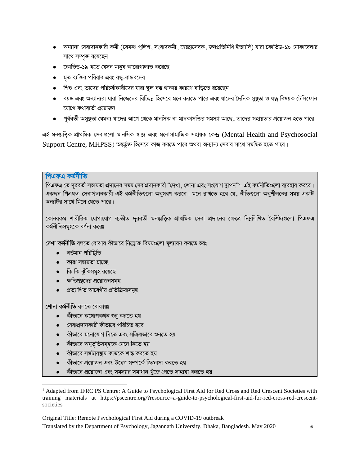- অন্যান্য সেবাদানকারী কর্মী (যেমনঃ পুলিশ, সংবাদকর্মী, স্বেচ্ছাসেবক, জনপ্রতিনিধি ইত্যাদি) যারা কোভিড-১৯ মোকাবেলার সাথে সম্পৃক্ত রয়েছেন
- কোভিড-১৯ হতে যেসব মানুষ আরোগ্যলাভ করেছে
- মৃত ব্যক্তির পরিবার এবং বন্ধ-বান্ধবদের
- শিশু এবং তাদের পরিচর্যাকারীদের যারা ক্ষল বন্ধ থাকার কারণে বাডিতে রয়েছেন
- বয়ঙ্ক এবং অন্যান্যরা যারা নিজেদের বিচ্ছিন্ন হিসেবে মনে করতে পারে এবং যাদের দৈনিক সম্ভতা ও যত্ন বিষয়ক টেলিফোন যোগে কথাবাৰ্তা প্ৰয়োজন
- পূর্ববর্তী অসুষ্থতা যেমনঃ যাদের আগে থেকে মানসিক বা মাদকাসক্তির সমস্যা আছে, তাদের সহায়তার প্রয়োজন হতে পারে

এই মনম্ভাত্ত্বিক প্ৰাথমিক সেবাগুলো মানসিক স্বাস্থ্য এবং মনোসামাজিক সহায়ক কেন্দ্ৰ (Mental Health and Psychosocial Support Centre, MHPSS) অন্তৰ্ভুক্ত হিসেবে কাজ করতে পারে অথবা অন্যান্য সেবার সাথে সমন্বিত হতে পারে।

#### পিএফএ কৰ্মনীতি

পিএফএ তে দরবর্তী সহায়তা প্রদানের সময় সেবাপ্রদানকারী "দেখা .শোনা এবং সংযোগ ষ্টাপন"'- এই কর্মনীতিগুলো ব্যবহার করবে। একজন পিএফএ সেবাপ্রদানকারী এই কর্মনীতিগুলো অনুসরণ করবে। মনে রাখতে হবে যে, নীতিগুলো অনুশীলনের সময় একটি অন্যটির সাথে মিলে যেতে পারে।

কোনরকম শারীরিক যোগাযোগ ব্যতীত দূরবর্তী মনম্ভাত্তিক প্রাথমিক সেবা প্রদানের ক্ষেত্রে নিম্নলিখিত বৈশিষ্ট্যগুলো পিএফএ কৰ্মনীতিসমূহকে বৰ্ণনা করেঃ

দেখা কৰ্মনীতি বলতে বোঝায় কীভাবে নিম্নোক্ত বিষয়গুলো মূল্যায়ন করতে হয়ঃ

- বৰ্তমান পরিষ্টিতি
- কারা সহায়তা চাচ্ছে
- কি কি ঝুঁকিসমূহ রয়েছে
- ক্ষতিগ্রন্থদের প্রয়োজনসমূহ
- প্ৰত্যাশিত আবেগীয় প্ৰতিক্ৰিয়াসমূহ

#### শোনা কৰ্মনীতি বলতে বোঝায়ঃ

- কীভাবে কথোপকথন শুরু করতে হয়
- সেবাপ্রদানকারী কীভাবে পরিচিত হবে
- কীভাবে মনোযোগ দিতে এবং সক্রিয়ভাবে শুনতে হয়
- কীভাবে অনুভূতিসমূহকে মেনে নিতে হয়
- কীভাবে সঙ্কটাবষ্টায় কাউকে শান্ত করতে হয়
- কীভাবে প্রয়োজন এবং উদ্বেগ সম্পর্কে জিজ্ঞাসা করতে হয়
- কীভাবে প্রয়োজন এবং সমস্যার সমাধান খুঁজে পেতে সাহায্য করতে হয়

<sup>&</sup>lt;sup>1</sup> Adapted from IFRC PS Centre: A Guide to Psychological First Aid for Red Cross and Red Crescent Societies with training materials at https://pscentre.org/?resource=a-guide-to-psychological-first-aid-for-red-cross-red-crescentsocieties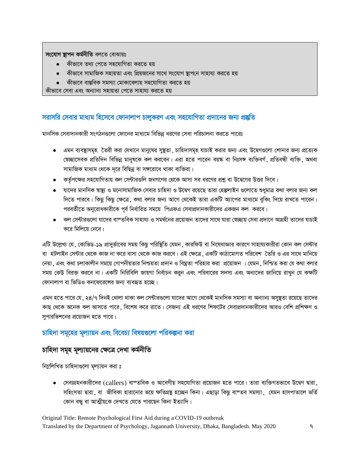**সংযোগ ছাপন কৰ্মনীতি** বলতে বোঝায়ঃ

- কীভাবে তথ্য পেতে সহযোগিতা করতে হয়
- কীভাবে সামাজিক সহায়তা এবং প্রিয়জনের সাথে সংযোগ স্থাপনে সাহায্য করতে হয়
- কীভাবে বাস্তবিক সমস্যা মোকাবেলায় সহযোগিতা করতে হয়

কীভাবে সেবা এবং অন্যান্য সহায়তা পেতে সাহায্য করতে হয়

#### $\overline{a}$  সরাসরি সেবার মাধ্যম হিসেবে ফোনালাপ চালুকরণ এবং সহযোগিতা প্রদানের জন্য প্রষ্কৃতি

মানসিক সেবাদানকারী সংগঠনগুলো ফোনের মাধ্যমে বিভিন্ন ধরণের সেবা পরিচালনা করতে পারেঃ

- এমন ব্যবস্থাসমূহ তৈরী করা যেখানে মানুষের সুষ্থতা , চাহিদাসমূহ যাচাই করার জন্য এবং উদ্বেগগুলো শোনার জন্য প্রত্যেক স্বেচ্ছাসেবক প্রতিদিন বিভিন্ন মানুষকে কল করবেন। এরা হতে পারেন বয়ঙ্ক বা নিঃসঙ্গ ব্যক্তিবর্গ, প্রতিবন্ধী ব্যক্তি, অথবা সামাজিক মাধ্যম থেকে দূরে বিছিন্ন বা সঙ্গরোধে থাকা ব্যক্তিরা।
- কর্তৃপক্ষের সহযোগিতায় কল সেন্টারগুলি জনগণের থেকে আসা সব ধরণের প্রশ্ন বা উদ্বেগের উত্তর দিবে।
- যাদের মানসিক স্বাষ্থ্য ও মনোসামাজিক সেবার চাহিদা ও উদ্বেগ রয়েছে তারা হেল্পলাইন গুলোতে শুধুমাত্র কথা বলার জন্য কল দিতে পারবে। কিছু কিছু ক্ষেত্রে, কথা বলার জন্য আগে থেকেই তারা একটি অ্যাপের মাধ্যমে বুকিং দিয়ে রাখতে পারেন। পরবর্তীতে অনুরোধকারীকে পূর্ব নির্ধারিত সময়ে পিএফএ সেবাপ্রদানকারীদের একজন কল করবে।
- কল সেন্টারগুলো যাদের বাস্তবিক সাহায্য ও সমর্থনের প্রয়োজন তাদের সাথে যারা স্বেচ্ছায় সেবা প্রদানে আগ্রহী তাদের যাচাই করে মিলিয়ে নেবে।

এটি উল্লেখ্য যে , কোভিড-১৯ প্রাদুর্ভাবের সময় কিছু পরিষ্থিতি যেমন , কারফিউ বা নিষেধাজ্ঞার কারণে সাহায্যকারীরা কোন কল সেন্টার বা হটলাইন সেন্টার থেকে কাজ না করে বাসা থেকে কাজ করবে। এই ক্ষেত্রে, একটি কাঠামোগত পরিবেশ তৈরি ও এর সাথে মানিয়ে নেয়া, এবং কথা চলাকালীন সময়ে গোপনীয়তার নিশ্চয়তা প্রদান ও বিঘ্নতা পরিহার করা প্রয়োজন । যেমন, নিশ্চিত করা যে কথা বলার সময় কেউ বিরক্ত করবে না। একটি নিরিবিলি জায়গা নির্বাচন করুন এবং পরিবারের সদস্য এবং অন্যদের জানিয়ে রাখুন যে কক্ষটি ফোনালাপ বা ভিডিও কনফেরেঙ্গের জন্য ব্যবহৃত হচ্ছে।

এমন হতে পারে যে , ২৪/৭ দিনই খোলা থাকা কল সেন্টারগুলো যাদের আগে থেকেই মানসিক সমস্যা বা অন্যান্য অসুষ্থতা রয়েছে তাদের কাছ থেকে অনেক কল আসতে পারে, বিশেষ করে রাতে। সেজন্য এই ধরণের শিফটের সেবাপ্রদানকারীদের আরও বেশি প্রশিক্ষণ ও সুপারভিশনের প্রয়োজন হতে পারে।

#### <u>চাহিদা সমূহের মূল্যায়ন এবং বিবেচ্য বিষয়গুলো পরিকল্পনা করা</u>

### $\overline{p}$  চাহিদা সমূহ মূল্যায়নের ক্ষেত্রে দেখা কর্মনীতি

নিম্লিখিত চাহিদাগুলো মূল্যায়ন করা ঃ

• সেবাগ্রহনকারীদের (callers) বাস্তবিক ও আবেগীয় সহযোগিতা প্রয়োজন হতে পারে। তারা ব্যক্তিগতভাবে উদ্বেগ দ্বারা সহিংসতা দ্বারা, বা জীবিকা হারানোর ভয়ে ক্ষতিগ্রন্থ হচ্ছেন কিনা। এছাড়া কিছু বাস্তব সমস্যা, যেমন হাসপাতালে ভর্ত কোন বন্ধ বা আত্মীয়কে দেখতে যেতে পারছেন কিনা ইত্যাদি।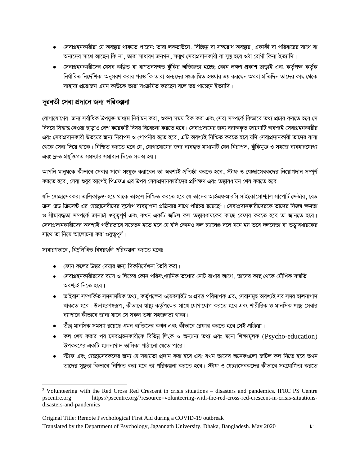- সেবাগ্রহনকারীরা যে অবন্থায় থাকতে পারেন: তারা লকডাউনে, বিচ্ছিন্ন বা সঙ্গরোধ অবন্থায়, একাকী বা পরিবারের সাথে বা অন্যদের সাথে আছেন কি না , তারা সাধারণ জনগন , সম্মুখ সেবাপ্রদানকারী বা সুষ্থ হয়ে ওঠা রোগী কিনা ইত্যাদি।
- সেবাগ্রহনকারীদের যেসব কল্পিত বা বাস্তবসম্মত ঝুঁকির অভিজ্ঞতা হচ্ছে; কোন লক্ষণ প্রকাশ ছাড়াই এবং কর্তৃপক্ষ কর্তৃক নির্ধারিত নির্দেশিকা অনুসরণ করার পরও কি তারা অন্যদের সংক্রামিত হওয়ার ভয় করছেন অথবা প্রতিদিন তাদের কাছ থেকে সাহায্য প্রয়োজন এমন কাউকে তারা সংক্রমিত করছেন বলে ভয় পাচ্ছেন ইত্যাদি।

### দূরবর্তী সেবা প্রদানে জন্য পরিকল্পনা

যোগাযোগের জন্য সর্বাধিক উপযুক্ত মাধ্যম নির্বাচন করা, শুরুর সময় ঠিক করা এবং সেবা সম্পর্কে কিভাবে তথ্য প্রচার করতে হবে সে বিষয়ে সিদ্ধান্ত নেওয়া ছাড়াও বেশ কয়েকটি বিষয় বিবেচনা করতে হবে। সেবাপ্রদানের জন্য বরাদ্দকৃত জায়গাটি অবশ্যই সেবাগ্রহনকারীর এবং সেবাপ্রদানকারী উভয়ের জন্য নিরাপদ ও গোপনীয় হতে হবে .এটি অবশ্যই নিশ্চিত করতে হবে যদি সেবাপ্রদানকারী তাদের বাসা থেকে সেবা দিয়ে থাকে। নিশ্চিত করতে হবে যে, যোগাযোগের জন্য ব্যবহৃত মাধ্যমটি যেন নিরাপদ, ঝুঁকিমুক্ত ও সহজে ব্যবহারযোগ্য এবং দ্রুত প্রযুক্তিগত সমস্যার সমাধান দিতে সক্ষম হয়।

আপনি মানুষকে কীভাবে সেবার সাথে সংযুক্ত করাবেন তা অবশ্যই প্রতিষ্ঠা করতে হবে স্টাফ ও স্বেচ্ছাসেবকদের নিয়োগদান সম্পূর্ণ করতে হবে , সেবা শুরুর আগেই পিএফএ এর উপর সেবাপ্রদানকারীদের প্রশিক্ষণ এবং তত্ত্বাবধায়ন শেষ করতে হবে।

যদি স্বেচ্ছাসেবকরা তালিকাভুক্ত হয়ে থাকে তাহলে নিশ্চিত করতে হবে যে তাদের আইএফআরসি সাইকোসোশ্যাল সাপোর্ট সেন্টার, রেড ক্রস রেড ক্রিসেন্ট এর স্বেচ্ছাসেবীদের দুর্যোগ ব্যবস্থাপনা প্রক্রিয়ার সাথে পরিচয় রয়েছে<sup>২</sup>। সেবাপ্রদানকারীদেরকে তাদের নিজস্ব ক্ষমতা ও সীমাবদ্ধতা সম্পর্কে জানাটা গুরুতুপূর্ণ এবং কখন একটি জটিল কল তত্ত্বাবধায়কের কাছে রেফার করতে হবে তা জানতে হবে। সেবাপ্রদানকারীদের অবশ্যই গভীরভাবে সচেতন হতে হবে যে যদি কোনও কল চ্যালেঞ্জ বলে মনে হয় তবে দলনেতা বা তত্তাবধায়কের সাথে তা নিয়ে আলোচনা করা গুরুত্বপূর্ণ।

#### সাধারণভাবে, নিম্ললিখিত বিষয়গুলি পরিকল্পনা করতে হবেঃ

- যেনে কলের উত্তর দেয়ার জন্য দিকনির্দেশনা তৈরি করা।
- সেবাগ্রহনকারীরদের বয়স ও লিঙ্গের কোন পরিসংখ্যানিক তথ্যের নোট রাখার আগে, তাদের কাছ থেকে মৌখিক সম্মতি অবশাই নিতে হবে।
- ভাইরাস সম্পর্কিত সমসাময়িক তথ্য , কর্তৃপক্ষের ওয়েবসাইট ও প্রদত্ত পরিমাপক এবং সেবাসমূহ অবশ্যই সব সময় হালনাগাদ থাকতে হবে। উদাহরণম্বরূপ, কীভাবে স্বাষ্থ্য কর্তৃপক্ষের সাথে যোগাযোগ করতে হবে এবং শারীরিক ও মানসিক স্বাষ্থ্য সেবার ব্যাপারে কীভাবে জানা যাবে সে সকল তথ্য সহজলভ্য থাকা।
- তীব্র মানসিক সমস্যা রয়েছে এমন ব্যক্তিদের কখন এবং কীভাবে রেফার করতে হবে সেই প্রক্রিয়া।
- $\bullet$  কল শেষ করার পর সেবাগ্রহনকারীকে বিভিন্ন লিংক ও অন্যান্য তথ্য এবং মনো-শিক্ষামূলক (Psycho-education) উপকরণের একটি হালনাগাদ তালিকা পাঠানো যেতে পারে।
- স্টাফ এবং শ্বেচ্ছাসেবকদের জন্য যে সহায়তা প্রদান করা হবে এবং যখন তাদের অনেকগুলো জটিল কল নিতে হবে তখন তাদের সুষ্থতা কিভাবে নিশ্চিত করা হবে তা পরিকল্পনা করতে হবে। স্টাফ ও স্বেচ্ছাসেবকদের কীভাবে সহযোগিতা করতে

<sup>&</sup>lt;sup>2</sup> Volunteering with the Red Cross Red Crescent in crisis situations – disasters and pandemics. IFRC PS Centre pscentre.org https://pscentre.org/?resource=volunteering-with-the-red-cross-red-crescent-in-crisis-situationsdisasters-and-pandemics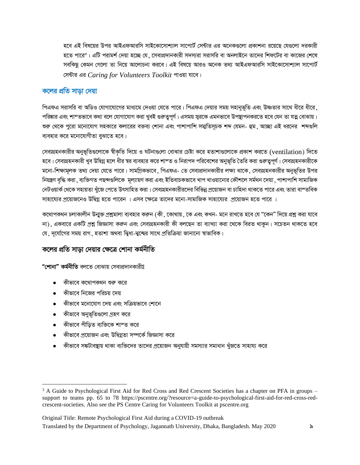হবে এই বিষয়ের উপর আইএফআরসি সাইকোসোশ্যাল সাপোর্ট সেন্টার এর অনেকগুলো প্রকাশনা রয়েছে যেগুলো দরকারী হতে পারে°। এটি পরামর্শ দেয়া হচ্ছে যে, সেবাপ্রদানকারী সদস্যরা সরাসরি বা অনলাইনে তাদের শিফটের বা কাজের শেষে সবকিছু কেমন গেলো তা নিয়ে আলোচনা করবে। এই বিষয়ে আরও অনেক তথ্য আইএফআরসি সাইকোসোশ্যাল সাপোর্ট সেন্টার এর Caring for Volunteers Toolkit পাওয়া যাবে।

#### কলের প্রতি সাডা দেয়া

পিএফএ সরাসরি বা অডিও যোগাযোগের মাধ্যমে দেওয়া যেতে পারে। পিএফএ দেয়ার সময় সহানভূতি এবং উষ্ণতার সাথে ধীরে ধীরে , পরিষ্কার এবং শাশতভাবে কথা বলে যোগাযোগ করা খুবই গুরুত্বপূর্ণ। এসময় স্বরকে এমনভাবে উপস্থাপনকরতে হবে যেন তা যত্ন বোঝায়। শুরু থেকে পুরো মনোযোগ সহকারে কলারের বক্তব্য শোনা এবং পাশাপাশি সম্মতিসূচক শব্দ যেমন- হুম , আচ্ছা এই ধরনের শব্দগুল ব্যবহার করে মনোযোগীতা বুঝাতে হবে।

সেবাগ্রহনকারীর অনুভূতিগুলোকে স্বীকৃতি দিয়ে ও ঘটনাগুলো বোঝার চেষ্টা করে হতাশাগুলোকে প্রকাশ করতে (ventilation) দিতে হবে। সেবাগ্রহনকারী খুব উদ্বিগ্ন হলে ধীর স্বর ব্যবহার করে শাশ্ত ও নিরাপদ পরিবেশের অনুভূতি তৈরি করা গুরুত্বপূর্ণ। সেবাগ্রহনকারীকে মনো-শিক্ষামূলক তথ্য দেয়া যেতে পারে। সামগ্রিকভাবে, পিএফএ- তে সেবাপ্রদানকারীর লক্ষ্য থাকে, সেবাগ্রহনকারীর অনুভূতির উপর নিয়ন্ত্রণ বৃদ্ধি করা , ব্যক্তিগত পছন্দগুলিকে মূল্যায়ণ করা এবং ইতিবাচকভাবে খাপ খাওয়ানোর কৌশলে সর্মথন দেয়া , পাশাপাশি সামাজিক নেটওয়ার্ক থেকে সহায়তা খুঁজে পেতে উৎসাহিত করা। সেবাগ্রহনকারীরদের বিভিন্ন প্রয়োজন বা চাহিদা থাকতে পারে এবং তারা বাস্তবিক সাহায্যের প্রয়োজনেও উদ্বিগ্ন হতে পারেন । এসব ক্ষেত্রে তাদের মনো-সামাজিক সাহায্যের প্রয়োজন হতে পারে ।

কথোপকথন চলাকালীন উন্মুক্ত প্ৰশ্নমালা ব্যবহার করুন (কী , কোথায় , কে এবং কখন- মনে রাখতে হবে যে "কেন" দিয়ে প্রশ্ন করা যাবে না), একবারে একটি প্রশ্ন জিজ্ঞাসা করুন এবং সেবাগ্রহনকারী কী বলছেন তা ব্যাখ্যা করা থেকে বিরত থাকুন। সচেতন থাকতে হবে যে, দূর্যোগের সময় রাগ, হতাশা অথবা দ্বিধা-দ্বন্দ্বের সাথে প্রতিক্রিয়া জানানো স্বাভাবিক।

#### কলের প্রতি সাড়া দেয়ার ক্ষেত্রে শোনা কর্মনীতি

**"শোনা" কৰ্মনীতি** বলতে বোঝায় সেবাপ্ৰদানকারীঃ

- কীভাবে কথোপকথন শুরু করে
- কীভাবে নিজের পরিচয় দেয়
- $\bullet$  কীভাবে মনোযোগ দেয় এবং সক্রিয়ভাবে শোনে
- কীভাবে অনুভূতিগুলো গ্ৰহণ করে
- কীভাবে পীড়িত ব্যক্তিকে শাশ্ত করে
- কীভাবে প্রয়োজন এবং উদ্বিগ্নতা সম্পর্কে জিজ্ঞাসা করে
- কীভাবে সঙ্কটাবষ্থায় থাকা ব্যক্তিদের তাদের প্রয়োজন অনুযায়ী সমস্যার সমাধান খুঁজতে সাহায্য করে

<sup>&</sup>lt;sup>3</sup> A Guide to Psychological First Aid for Red Cross and Red Crescent Societies has a chapter on PFA in groups – support to teams pp. 65 to 78 https://pscentre.org/?resource=a-guide-to-psychological-first-aid-for-red-cross-redcrescent-societies. Also see the PS Centre Caring for Volunteers Toolkit at pscentre.org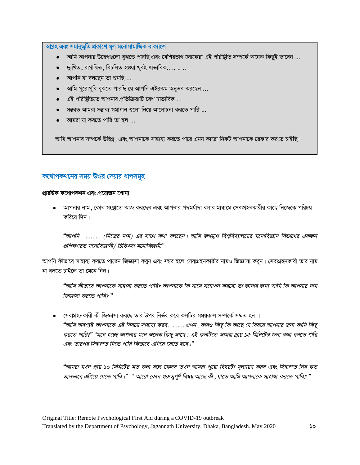<u>আগ্ৰহ এবং সমানুভূতি প্ৰকাশে মূল মনোসামাজিক বাক্যাংশ</u>

- $\bullet$  আমি আপনার উদ্বেগগুলো বুঝতে পারছি এবং বেশিরভাগ লোকেরা এই পরিষ্থিতি সম্পর্কে অনেক কিছুই ভাবেন ...
- $\bullet$   $\blacksquare$ দু:খিত , রাগান্বিত , বিচলিত হওয়া খুবই স্বাভাবিক..  $\ldots$   $\ldots$
- $\bullet$  আপনি যা বলছেন তা শুনছি ...
- $\bullet$  অামি পুরোপুরি বুঝতে পারছি যে আপনি এইরকম অনুভব করছেন ...
- এই পরিষ্টিতিতে আপনার প্রতিক্রিয়াটি বেশ স্বাভাবিক ...
- সম্ভবত আমরা সম্ভাব্য সমাধান গুলো নিয়ে আলোচনা করতে পারি ...
- আমরা যা করতে পারি তা হল  $\ldots$

আমি আপনার সম্পর্কে উদ্বিগ্ন, এবং আপনাকে সাহায্য করতে পারে এমন কারো নিকট আপনাকে রেফার করতে চাইছি।

#### কথোপকথনের সময় উওর দেয়ার ধাপসমূহ

#### প্ৰারম্ভিক কথোপকথন এবং প্রয়োজন **শো**না

• আপনার নাম , কোন সংস্থাতে কাজ করছেন এবং আপনার পদমর্যাদা বলার মাধ্যমে সেবাগ্রহনকারীর কাছে নিজেকে পরিচয় করিয়ে দিন।

"আপনি ......... (নিজের নাম) এর সাথে কথা বলছেন। আমি জগন্নাথ বিশুবিদ্যালয়ের মনোবিজ্ঞান বিভাগের একজন *প্রশিক্ষণরত মনোবিজ্ঞানী / চিকিৎসা মনোবিজ্ঞানী"* 

আপনি কীভাবে সাহায্য করতে পারেন জিজ্ঞাসা করুন এবং সম্ভব হলে সেবাগ্রহনকারীর নামও জিজ্ঞাসা করুন। সেবাগ্রহনকারী তার নাম না বলতে চাইলে তা মেনে নিন।

"আমি কীভাবে আপনাকে সাহায্য করতে পারি? আপনাকে কি নামে সম্বোধন করবো তা জানার জন্য আমি কি আপনার নাম *জিজ্ঞাসা করতে পারি?* "

সেবাগ্রহনকারী কী জিজ্ঞাসা করছে তার উপর নির্ভর করে কলটির সময়কাল সম্পর্কে সম্মত হন । "আমি অবশ্যই আপনাকে এই বিষয়ে সাহায্য করব……… এখন ,আরও কিছু কি আছে যে বিষয়ে আপনার জন্য আমি কিছু *করতে পারি?" "মনে হচ্ছে আপনার মনে অনেক কিছু আছে। এই কলটিতে আমরা প্রায় ১৫ মিনিটের জন্য কথা বলতে পারি Ges Zvici wm×všZ wb‡Z cvwi wKfv‡e GwM‡q ‡h‡Z n‡e|Ó*

**"**আমরা যখন প্রায় ১০ মিনিটের মত কথা বলে ফেলব তখন আমরা পুরো বিষয়টা মূল্যায়ণ করব এবং সিদ্ধাম্ত নিব কত  $\tilde{\bm{\sigma}}$ লভাবে এগিয়ে যেতে পারি।"" আরো কোন গুরুতুপূর্ণ বিষয় আছে কী , যাতে আমি আপনাকে সাহায্য করতে পারি? "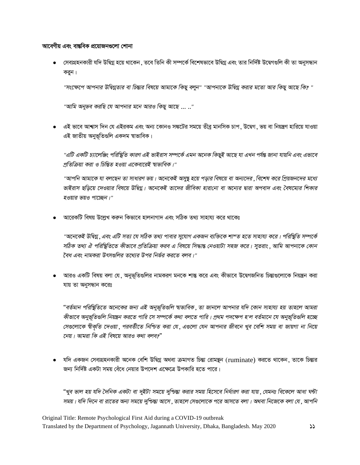#### আবেগীয় এবং বান্তবিক প্রয়োজনগুলো শোনা

● সেবাগ্রহনকারী যদি উদ্বিগ্ন হয়ে থাকেন , তবে তিনি কী সম্পর্কে বিশেষভাবে উদ্বিগ্ন এবং তার নির্দিষ্ট উদ্বেগগুলি কী তা অনুসন্ধান করন।

"সংক্ষেপে আপনার উদ্বিগ্নতার বা চিন্তার বিষয়ে আমাকে কিছু বলুন" "আপনাকে উদ্বিগ্ন করার মতো আর কিছু আছে কি? "

"আমি অনুভব করছি যে আপনার মনে আরও কিছু আছে ... .."

• এই ভাবে আশ্বাস দিন যে এইরকম এবং অন্য কোনও সঙ্কটের সময়ে তীব্র মানসিক চাপ . উদ্বেগ . ভয় বা নিয়ন্ত্রণ হারিয়ে যাওয়া এই জাতীয় অনুভূতিগুলি একদম শ্বাভাবিক।

"এটি একটি চ্যালেঞ্জিং পরিস্থিতি কারণ এই ভাইরাস সম্পর্কে এমন অনেক কিছুই আছে যা এখন পর্যন্ত জানা যায়নি এবং এভাবে প্রতিক্রিয়া করা ও চিন্তিত হওয়া একেবারেই স্বাভাবিক।"

"আপনি আমাকে যা বলছেন তা সাধারণ ভয়। অনেকেই অসুস্থ হয়ে পড়ার বিষয়ে বা অন্যদের , বিশেষ করে প্রিয়জনদের মধ্যে ভাইরাস ছড়িয়ে দেওয়ার বিষয়ে উদ্বিগ্ন। অনেকেই তাদের জীবিকা হারানো বা অন্যের দ্বারা অপবাদ এবং বৈষম্যের শিকার হওয়ার ভয়ও পাচেছন।"

আরেকটি বিষয় উল্লেখ করুন কিভাবে হালনাগাদ এবং সঠিক তথ্য সাহায্য করে থাকেঃ

"অনেকেই উদ্বিগ্ন , এবং এটি সত্য যে সঠিক তথ্য পাবার সুযোগ একজন ব্যক্তিকে শাশত হতে সাহায্য করে। পরিস্থিতি সম্পর্কে সঠিক তথ্য ঐ পরিস্থিতিতে কীভাবে প্রতিক্রিয়া করব এ বিষয়ে সিদ্ধান্ত নেওয়াটা সহজ করে। সুতরাং , আমি আপনাকে কোন বৈধ এবং নামকরা উৎসগুলির তথ্যের উপর নির্ভর করতে বলব।"

• আরও একটি বিষয় বলা যে , অনুভূতিগুলির নামকরণ মনকে শান্ত করে এবং কীভাবে উদ্বেগজনিত চিন্তাগুলোকে নিয়ন্ত্রন করা যায় তা অনুসন্ধান করেঃ

"বর্তমান পরিস্থিতিতে অনেকের জন্য এই অনুভূতিগুলি স্বাভাবিক ,তা জানলে আপনার যদি কোন সাহায্য হয় তাহলে আমরা কীভাবে অনুভূতিগুলি নিয়ন্ত্রন করতে পারি সে সম্পর্কে কথা বলতে পারি। প্রথম পদক্ষেপ হ'ল বর্তমানে যে অনুভূতিগুলি হচ্ছে সেগুলোকে শ্বীকৃতি দেওয়া ,পরবর্তীতে নিশ্চিত করা যে ,এগুলো যেন আপনার জীবনে খুব বেশি সময় বা জায়গা না নিয়ে নেয়। আমরা কি এই বিষয়ে আরও কথা বলব?"

যদি একজন সেবাগ্রহনকারী অনেক বেশি উদ্বিগ্ন অথবা ক্রমাগত চিন্তা রোমন্থন (ruminate) করতে থাকেন, তাকে চিন্তার জন্য নির্দিষ্ট একটা সময় বেঁধে নেয়ার উপদেশ এক্ষেত্রে উপকারি হতে পারে।

"খুব ভাল হয় যদি দৈনিক একটা বা দুইটা সময়ে দুশ্চিন্তা করার সময় হিসেবে নির্ধারণ করা যায় ,যেমনঃ বিকেলে আধা ঘন্টা সময়। যদি দিনে বা রাতের অন্য সময়ে দুশ্চিন্তা আসে , তাহলে সেগুলোকে পরে আসতে বলা। অথবা নিজেকে বলা যে , আপনি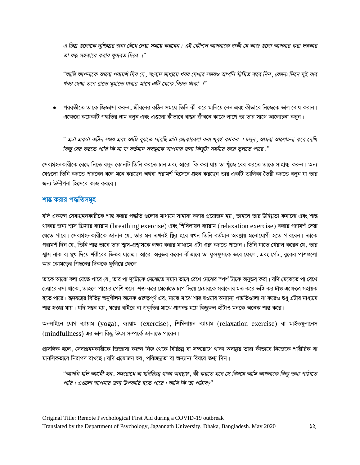*G wPšÍv ¸‡jv‡K `ywðšÍvi Rb¨ †eu‡a †`qv mg‡q Ki‡eb| GB †KŠkj Avcbv‡K evKx †h KvR ¸‡jv Avcbvi Kiv `iKvi*   $\overline{v}$  যত্ন সহকারে করার ফুসরত দিবে ।"

"আমি আপনাকে আরো পরামর্শ দিব যে , সংবাদ মাধ্যমে খবর দেখার সময়ও আপনি সীমিত করে নিন , যেমন: দিনে দুই বার খবর দেখা তবে রাতে ঘুমাতে যাবার আগে এটি থেকে বিরত থাকা ।"

• পরবর্তীতে তাকে জিজ্ঞাসা করুন , জীবনের কঠিন সময়ে তিনি কী করে মানিয়ে নেন এবং কীভাবে নিজেকে ভাল বোধ করান। এক্ষেত্রে কয়েকটি পদ্ধতির নাম বলন এবং এগুলো কীভাবে বাস্তব জীবনে কাজে লাগে তা তার সাথে আলোচনা করন।

" এটা একটা কঠিন সময় এবং আমি বুঝতে পারছি এটা মোকাবেলা করা খুবই কষ্টকর । চলুন , আমরা আলোচনা করে দেখি  $\sqrt{2}$  *কিছু বের করতে পারি কি না যা বর্তমান অবস্থাকে আপনার জন্য কিছুটা সহনীয় করে তুলতে পারে।"* 

সেবাগ্রহনকারীকে বেছে নিতে বলুন কোনটি তিনি করতে চান এবং আরো কি করা যায় তা খুঁজে বের করতে তাকে সাহায্য করুন। অন্য যেগুলো তিনি করতে পারবেন বলে মনে করছেন অথবা পরামর্শ হিসেবে গ্রহন করছেন তার একটি তালিকা তৈরী করতে বলুন যা তার জন্য উদ্দীপনা হিসেবে কাজ করবে।

#### **<u>\*ান্ত করার পদ্ধতিসমূহ</u>**

যদি একজন সেবাগ্রহনকারীকে শান্ত করার পদ্ধতি গুলোর মাধ্যমে সাহায্য করার প্রয়োজন হয় , তাহলে তার উদ্বিগ্নতা কমানো এবং শান্ত থাকার জন্য শ্বাস ক্রিয়ার ব্যায়াম (breathing exercise) এবং শিথিলায়ন ব্যায়াম (relaxation exercise) করার পরামর্শ দেয়া যেতে পারে। সেবাগ্রহনকারীকে জানান যে, তার মন তখনই ছির হবে যখন তিনি বর্তমান অবন্থায় মনোযোগী হতে পারবেন। তাকে পরামর্শ দিন যে , তিনি শান্ত ভাবে তার শ্বাস-প্রশ্বাসকে লক্ষ্য করার মাধ্যমে এটা শুরু করতে পারেন। তিনি যাতে খেয়াল করেন যে , তার শ্বাস নাক বা মুখ দিয়ে শরীরের ভিতর যাচ্ছে। আরো অনুভব করেন কীভাবে তা ফুসফুসকে ভরে ফেলে, এবং পেট, বুকের পাশগুলো আর কোমড়ের পিছনের দিককে ফুলিয়ে ফেলে।

তাকে আরো বলা যেতে পারে যে , তার পা দুটোকে মেঝেতে সমান ভাবে রেখে মেঝের স্পর্শ টাকে অনুভব করা। যদি মেঝেতে পা রেখে চেয়ারে বসা থাকে , তাহলে পায়ের পেশি গুলো শক্ত করে মেঝেতে চাপ দিয়ে চেয়ারকে সরানোর মত করে ভঙ্গি করাটাও এক্ষেত্রে সহায়ক হতে পারে। হৃদযন্ত্রের বিভিন্ন অনুশীলন অনেক গুরুতুপূর্ণ এবং মাঝে মাঝে শান্ত হওয়ার অন্যান্য পদ্ধতিগুলো না করেও শুধু এটার মাধ্যমে শান্ত হওয়া যায়। যদি সম্ভব হয়, ঘরের বাইরে বা প্রকৃতির মাঝে প্রাণবন্ত হয়ে কিছুক্ষন হাঁটাও মনকে অনেক শান্ত করে।

অনলাইনে যোগ ব্যায়াম (yoga), ব্যায়াম (exercise), শিথিলায়ন ব্যায়াম (relaxation exercise) বা মাইন্ডফুলনেস (mindfullness) এর ভাল কিছু উৎস সম্পর্কে জানাতে পারেন।

প্রাসঙ্গিক হলে, সেবাগ্রহনকারীকে জিজ্ঞাসা করুন নিজ থেকে বিচ্ছিন্ন বা সঙ্গরোধে থাকা অবষ্থায় তারা কীভাবে নিজেকে শারীরিক বা মানসিকভাবে নিরাপদ রাখছে। যদি প্রয়োজন হয়, পরিচ্ছন্নতা বা অন্যান্য বিষয়ে তথ্য দিন।

"আপনি যদি আগ্রহী হন , সঙ্গরোধে বা শ্ববিচ্ছিন্ন থাকা অবস্থায় , কী করতে হবে সে বিষয়ে আমি আপনাকে কিছু তথ্য পাঠাতে পারি। এগুলো আপনার জন্য উপকারি হতে পারে। আমি কি তা পাঠাব?"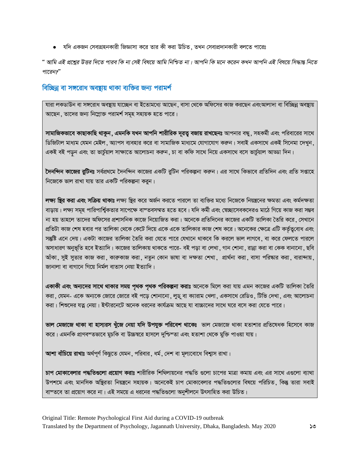• যদি একজন সেবাগ্রহনকারী জিজ্ঞাসা করে তার কী করা উচিত, তখন সেবাপ্রদানকারী বলতে পারেঃ

" আমি এই প্রশ্নের উত্তর দিতে পারব কি না সেই বিষয়ে আমি নিশ্চিত না। আপনি কি মনে করেন কখন আপনি এই বিষয়ে সিদ্ধান্ত নিতে পারেন?"

#### বিচ্ছিন্ন বা সঙ্গরোধ অবষ্টায় থাকা ব্যক্তির জন্য পরামর্শ

যারা লকডাউন বা সঙ্গরোধ অবষ্টায় যাচ্ছেন বা ইতোমধ্যে আছেন , বাসা থেকে অফিসের কাজ করছেন এবংআলাদা বা বিচ্ছিন্ন অবষ্টায় আছেন, তাদের জন্য নিম্লোক্ত পরামর্শ সমূহ সহায়ক হতে পারে।

সামাজিকভাবে কাছাকাছি থাকুন, এমনকি যখন আপনি শারীরিক দূরত্ব বজায় রাখছেনঃ আপনার বন্ধু, সহকর্মী এবং পরিবারের সাথে ডিজিটাল মাধ্যম যেমন মেইল, অ্যাপস ব্যবহার করে বা সামাজিক মাধ্যমে যোগাযোগ করুন। সবাই একসাথে একই সিনেমা দেখুন, একই বই পড়ন এবং তা ভাৰ্চুয়াল সাক্ষাতে আলোচনা কৰুন , চা বা কফি সাথে নিয়ে একসাথে বসে ভাৰ্চুয়াল আড্ডা দিন।

**দৈনন্দিন কাজের রুটিনঃ** সর্বপ্রথমে দৈনন্দিন কাজের একটি রুটিন পরিকল্পনা করুন। এর সাথে কিভাবে প্রতিদিন এবং প্রতি সপ্তাহে নিজেকে ভাল রাখা যায় তার একটি পরিকল্পনা করন।

লক্ষ্য **ছির করা এবং সক্রিয় থাকাঃ** লক্ষ্য ছির করে অর্জন করতে পারলে তা ব্যক্তির মধ্যে নিজেকে নিয়ন্ত্রনের ক্ষমতা এবং কর্মদক্ষতা বাড়ায়। লক্ষ্য সমূহ পারিপার্শ্বিকতার সাপেক্ষে বাস্তবসম্মত হতে হবে। যদি কর্মী এবং স্বেচ্ছাসেবকদেরও মাঠে গিয়ে কাজ করা সম্ভব না হয় তাহলে তাদের অফিসের প্রশাসনিক কাজে নিয়োজিত করা। অনেকে প্রতিদিনের কাজের একটি তালিকা তৈরি করে, সেখানে প্রতিটা কাজ শেষ হবার পর তালিকা থেকে কেটে দিয়ে একে একে তালিকার কাজ শেষ করে। অনেকের ক্ষেত্রে এটি কর্তৃত্ববোধ এবং সন্তুষ্টি এনে দেয়। একটা কাজের তালিকা তৈরি করা যেতে পারে যেখানে থাকবে কি করলে ভাল লাগবে, বা করে ফেলতে পারলে অসাধারণ অনুভূতি হবে ইত্যাদি। কাজের তালিকায় থাকতে পারে- বই পড়া বা লেখা ,গান শোনা ,রান্না করা বা কেক বানানো , ছবি আঁকা, সুই সুতার কাজ করা, কারুকাজ করা, নতুন কোন ভাষা বা দক্ষতা শেখা, প্রার্থনা করা, বাসা পরিষ্কার করা, বারান্দায়, জানালা বা বাগানে গিয়ে নিৰ্মল বাতাস নেয়া ইত্যাদি।

**একাকী এবং অন্যদের সাথে থাকার সময় পৃথক পৃথক পরিকল্পনা করাঃ** অনেকে মিলে করা যায় এমন কাজের একটি তালিকা তৈরি করা, যেমন- একে অন্যকে জোরে জোরে বই পড়ে শোনানো, লুডু বা ক্যারাম খেলা, একসাথে রেডিও, টিভি দেখা, এবং আলোচনা করা। শিশুদের যত্ন নেয়া। ইন্টারনেটে অনেক ধরনের কার্যক্রম আছে যা বাচ্চাদের সাথে ঘরে বসে করা যেতে পারে।

**ভাল মেজাজে থাকা বা হাস্যরস খুঁজে নেয়া যদি উপযুক্ত পরিবেশ থাকেঃ** ভাল মেজাজে থাকা হতাশার প্রতিষেধক হিসেবে কাজ করে। এমনকি প্রাণবন্তভাবে মুচকি বা উচ্চম্বরে হাসলে দুশ্চিন্তা এবং হতাশা থেকে মুক্তি পাওয়া যায়।

আশা বাঁচিয়ে রাখাঃ অর্থপূর্ণ কিছুতে যেমন, পরিবার, ধর্ম, দেশ বা মূল্যবোধে বিশ্বাস রাখা।

চাপ **মোকাবেলার পদ্ধতিগুলো প্রয়োগ করাঃ শা**রীরিক শিথিলায়নের পদ্ধতি গুলো চাপের মাত্রা কমায় এবং এর সাথে এগুলো ব্যাথা উপশমে এবং মানসিক অষ্টিরতা নিয়ন্ত্রনে সহায়ক। অনেকেই চাপ মোকাবেলার পদ্ধতিগুলোর বিষয়ে পরিচিত, কিন্তু তারা সবাই বাস্তবে তা প্রয়োগ করে না। এই সময়ে এ ধরনের পদ্ধতিগুলো অনুশীলনে উৎসাহিত করা উচিত।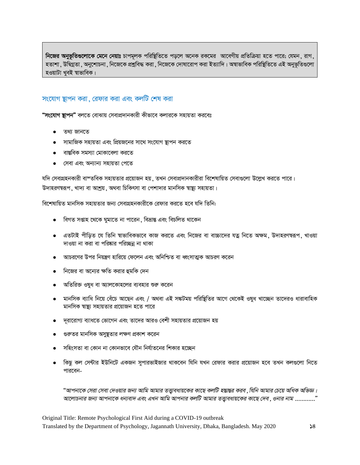**নিজের অনুভূতিগুলোকে মেনে নেয়াঃ** চাপমূলক পরিষ্থিতিতে পড়লে অনেক রকমের আবেগীয় প্রতিক্রিয়া হতে পারে; যেমন, রাগ, হতাশা , উদ্বিগ্নতা , অনুশোচনা , নিজেকে প্রশ্নবিদ্ধ করা , নিজেকে দোষারোপ করা ইত্যাদি। অন্বাভাবিক পরিষ্থিতিতে এই অনুভূতিগুলো হওয়াটা খবই স্বাভাবিক।

#### সংযোগ স্থাপন করা , রেফার করা এবং কলটি শেষ করা

**"সংযোগ ছাপন"** বলতে বোঝায় সেবাপ্ৰদানকারী কীভাবে কলারকে সহায়তা করবেঃ

- তথ্য জানতে
- সামাজিক সহায়তা এবং প্রিয়জনের সাথে সংযোগ স্থাপন করতে
- ৰান্তবিক সমস্যা মোকাবেলা করতে
- <u>সেবা এবং অন্যান্য সহায়তা পেতে</u>

যদি সেবাগ্রহনকারী বাস্তবিক সহায়তার প্রয়োজন হয়, তখন সেবাপ্রদানকারীরা বিশেষায়িত সেবাগুলো উল্লেখ করতে পারে। উদাহরণন্বরূপ, খাদ্য বা আশ্রয়, অথবা চিকিৎসা বা পেশাদার মানসিক স্বায়্যু সহায়তা।

বিশেষায়িত মানসিক সহায়তার জন্য সেবাগ্রহনকারীকে রেফার করতে হবে যদি তিনি:

- বিগত সপ্তাহ থেকে ঘুমাতে না পারেন , বিভ্রান্ত এবং বিচলিত থাকেন
- এতটাই পীড়িত যে তিনি শ্বাভাবিকভাবে কাজ করতে এবং নিজের বা বাচ্চাদের যত্ন নিতে অক্ষম, উদাহরণম্বরূপ, খাওয়া দাওয়া না করা বা পরিষ্কার পরিচ্ছন্ন না থাকা
- আচরণের উপর নিয়ন্ত্রণ হারিয়ে ফেলেন এবং অনিশ্চিত বা ধ্বংসাত্মক আচরণ করেন
- দিজের বা অন্যের ক্ষতি করার হুমকি দেন
- <u>অতিরিক্ত ওষধ বা অ্যালকোহলের ব্যবহার শুরু করেন</u>
- মানসিক ব্যাধি নিয়ে বেঁচে আছেন এবং / অথবা এই সঙ্কটময় পরিষ্টিতির আগে থেকেই ওষুধ খাচ্ছেন তাদেরও ধারাবাহিক মানসিক স্বাষ্ট্য সহায়তার প্রয়োজন হতে পারে
- দরারোগ্য ব্যাধতে ভোগেন এবং তাদের আরও বেশী সহায়তার প্রয়োজন হয়
- গুরুতর মানসিক অসুষ্টতার লক্ষণ প্রকাশ করেন
- সহিংসতা বা কোন না কোনভাবে যৌন নির্যাতনের শিকার হচ্ছেন
- কিছু কল সেন্টার ইউনিটে একজন সুপারভাইজার থাকবেন যিনি যখন রেফার করার প্রয়োজন হবে তখন কলগুলো নিতে পারবেন-

"আপনাকে সেরা সেবা দেওয়ার জন্য আমি আমার তত্ত্বাবধায়কের কাছে কলটি হস্তান্তর করব , যিনি আমার চেয়ে অধিক অভিজ্ঞ। *Av‡jvPbvi Rb¨ Avcbv‡K ab¨ev` Ges GLb Avwg Avcbvi KjwU Avgvi ZË¡veavq‡Ki Kv‡Q †`e, Ibvi bvg ............Ó*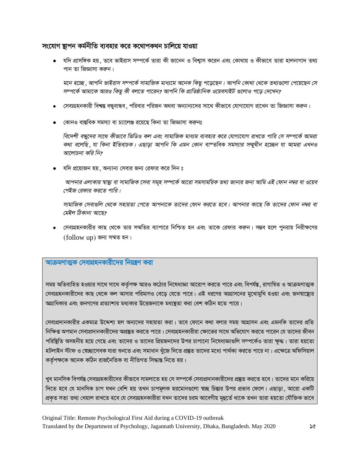#### সংযোগ ছাপন কর্মনীতি ব্যবহার করে কথোপকথন চালিয়ে যাওয়া

• যদি প্রাসঙ্গিক হয় , তবে ভাইরাস সম্পর্কে তারা কী জানেন ও বিশ্বাস করেন এবং কোথায় ও কীভাবে তারা হালনাগাদ তথ্য পান তা জিজ্ঞাসা করুন।

মনে হচ্ছে, আপনি ভাইরাস সম্পর্কে সামাজিক মাধ্যমে অনেক কিছু পড়েছেন। আপনি কোথা থেকে তথ্যগুলো পেয়েছেন সে সম্পর্কে আমাকে আরও কিছু কী বলতে পারেন? আপনি কি প্রাতিষ্ঠানিক ওয়েবসাইট গুলোও পড়ে দেখেন?

- সেবাগ্রহনকারী বিশ্বস্ত বন্ধুবান্ধব , পরিবার পরিজন অথবা অন্যান্যদের সাথে কীভাবে যোগাযোগ রাখেন তা জিজ্ঞাসা করুন।
- কোনও বাস্তবিক সমস্যা বা চ্যালেঞ্জ রয়েছে কিনা তা জিজ্ঞাসা করুনঃ

বিদেশী বন্ধদের সাথে কীভাবে ভিডিও কল এবং সামাজিক মাধ্যম ব্যবহার করে যোগাযোগ রাখতে পারি সে সম্পর্কে আমরা কথা বলেছি, যা কিনা ইতিবাচক। এছাড়া আপনি কি এমন কোন বাশ্তবিক সমস্যার সম্মুখীন হচ্ছেন যা আমরা এখনও আলোচনা করি নি?

• যদি প্রয়োজন হয়, অন্যান্য সেবার জন্য রেফার করে দিন ঃ

আপনার এলাকায় স্বাস্থ্য বা সামাজিক সেবা সমূহ সম্পর্কে আরো সমসাময়িক তথ্য জানার জন্য আমি এই ফোন নম্বর বা ওয়েব পেইজ রেফার করতে পারি।

সামাজিক সেবাগুলি থেকে সহায়তা পেতে আপনাকে তাদের ফোন করতে হবে। আপনার কাছে কি তাদের ফোন নম্বর বা মেইল ঠিকানা আছে?

• সেবাগ্রহনকারীর কাছ থেকে তার সম্মতির ব্যাপারে নিশ্চিত হন এবং তাকে রেফার করুন। সম্ভব হলে পুনরায় নিরীক্ষণের (follow up) জন্য সম্মত হন।

#### আক্রমণাত্মক সেবাগ্রহনকারীদের নিয়ন্ত্রণ করা

সময় অতিবাহিত হওয়ার সাথে সাথে কর্তৃপক্ষ আরও কঠোর নিষেধাজ্ঞা আরোপ করতে পারে এবং বিপর্যন্ত, রাগান্বিত ও আক্রমণাত্মক সেবাগ্রহনকারীদের কাছ থেকে কল আসার পরিমাণও বেড়ে যেতে পারে। এই ধরণের আগ্রাসনের মুখোমুখি হওয়া এবং জনশ্বাষ্থ্যের অগ্রাধিকার এবং জনগণের প্রত্যাশার মধ্যকার উত্তেজনাকে মধ্যষ্থতা করা বেশ কঠিন হতে পারে।

সেবাপ্রদানকারীর একমাত্র উদ্দেশ্য হল অন্যদের সহায়তা করা। তবে ফোনে কথা বলার সময় আগ্রাসন এবং এমনকি তাদের প্রতি নিক্ষিপ্ত অপমান সেবাপ্রদানকারীদের অপ্রষ্কৃত করতে পারে। সেবাগ্রহনকারীরা ক্ষোভের সাথে অভিযোগ করতে পারেন যে তাদের জীবন পরিষ্টিতি অসহনীয় হয়ে গেছে এবং তাদের ও তাদের প্রিয়জনদের উপর চাপানো নিষেধাজ্ঞাগুলি সম্পর্কেও তারা ক্ষদ্ধ। তারা হয়তো হটলাইন স্টাফ ও স্বেচ্ছাসেবক যারা শুনতে এবং সমাধান খুঁজে দিতে প্রষ্তুত তাদের মধ্যে পার্থক্য করতে পারে না। এক্ষেত্রে অফিসিয়াল কৰ্তৃপক্ষকে অনেক কঠিন রাজনৈতিক বা নীতিগত সিদ্ধান্ত নিতে হয়।

খুব মানসিক বিপর্যন্ত সেবাগ্রহকারীদের কীভাবে সামলাতে হয় সে সম্পর্কে সেবাপ্রদানকারীদের প্রষ্কুত করতে হবে। তাদের মনে করিয়ে দিতে হবে যে মানসিক চাপ যখন বেশি হয় তখন চাপমূলক হরমোনগুলো স্বচ্ছ চিন্তার উপর প্রভাব ফেলে। এছাড়া, আরো একটি প্রকৃত সত্য তথ্য খেয়াল রাখতে হবে যে সেবাগ্রহনকারীরা যখন তাদের চরম আবেগীয় মূহুর্তে থাকে তখন তারা হয়তো যৌক্তিক ভাবে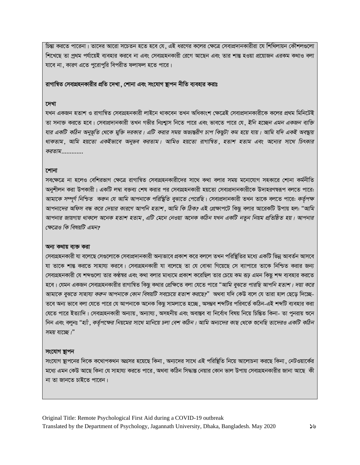চিন্তা করতে পারেনা। তাদের আরো সচেতন হতে হবে যে, এই ধরণের কলের ক্ষেত্রে সেবাপ্রদানকারীরা যে শিথিলায়ন কৌশলগুলো শিখেছে তা প্ৰথম পৰ্যায়েই ব্যবহার করবে না এবং সেবাগ্রহনকারী রেগে আছেন এবং তার শান্ত হওয়া প্রয়োজন এরকম কথাও বলা যাবে না, কারণ এতে পুরোপুরি বিপরীত ফলাফল হতে পারে।

রাগান্বিত সেবাগ্রহনকারীর প্রতি দেখা , শোনা এবং সংযোগ **ছাপন নীতি ব্যবহার করাঃ** 

#### দেখা

যখন একজন হতাশ ও রাগান্বিত সেবাগ্রহনকারী লাইনে থাকবেন তখন অধিকাংশ ক্ষেত্রেই সেবাপ্রদানকারীকে কলের প্রথম মিনিটেই তা সনাক্ত করতে হবে। সেবাপ্রদানকারী তখন গভীর নিঃশ্বাস নিতে পারে এবং ভাবতে পারে যে, *ইনি হচ্ছেন এমন একজন ব্যক্তি যার একটি কঠিন অনুভূতি থেকে মুক্তি দরকার। এটি করার সময় অভ্যন্তরীণ চাপ কিছুটা কম হয়ে যায়। আমি যদি একই অবস্থায় থাকতাম ,আমি হয়তো একইভাবে অনুভব করতাম। আমিও হয়তো রাগান্বিত ,হতাশ হতাম এবং অন্যের সাথে চিৎকার* করতাম.............

#### **শোনা**

সবক্ষেত্রে না হলেও বেশিরভাগ ক্ষেত্রে রাগান্বিত সেবাগ্রহনকারীদের সাথে কথা বলার সময় মনোযোগ সহকারে শোনা কর্মনীতি অনুশীলন করা উপকারী। একটি লম্বা বক্তব্য শেষ করার পর সেবাগ্রহনকারী হয়তো সেবাপ্রদানকারীকে উদাহরণম্বরূপ বলতে পারে: *আমাকে সম্পূর্ণ নিশ্চিত করুন যে আমি আপনাকে পরিস্থিতি বুঝাতে পেরেছি। সেবাপ্রদানকারী তখন তাকে বলতে পারে: কর্তৃপক্ষ আপনাদের অফিস বন্ধ করে দেয়ার কারণে আপনি হতাশ* , *আমি কি ঠিক?* এই প্রেক্ষাপটে কিছু বলার আরেকটি উপায় হল: "*আমি* আপনার জায়গায় থাকলে অনেক হতাশ হতাম ়এটি মেনে নেওয়া অনেক কঠিন যখন একটি নতুন নিয়ম প্রতিষ্ঠিত হয়। আপনার *ক্ষেত্ৰেও কি বিষয়টি এমন?* 

#### অন্য কথায় ব্যক্ত করা

সেবাগ্রহনকারী যা বলেছে সেগুলোকে সেবাপ্রদানকারী অন্যভাবে প্রকাশ করে বললে তখন পরিষ্থিতির মধ্যে একটি ভিন্ন আবর্তন আসবে যা তাকে শান্ত করতে সাহায্য করবে। সেবাগ্রহনকারী যা বলেছে তা যে বোঝা গিয়েছে সে ব্যাপারে তাকে নিশ্চিত করার জন্য সেবাগ্রহনকারী যে শব্দগুলো তার কণ্ঠস্বর এবং কথা বলার মাধ্যমে প্রকাশ করেছিল তার চেয়ে কম রূঢ় এমন কিছু শব্দ ব্যবহার করতে হবে। যেমন একজন সেবাগ্রহনকারীর রাগান্বিত কিছু কথার প্রেক্ষিতে বলা যেতে পারে "*আমি বুঝতে পারছি আপনি হতাশ। দয়া করে আমাকে বুঝতে সাহায্য করুন আপনাকে কোন বিষয়টি সবচেয়ে হতাশ করছে?" অথবা যদি কেউ বলে যে তারা হাল ছেড়ে দিচ্ছে-*তবে অন্য ভাবে বলা যেতে পারে যে আপনাকে অনেক কিছু সামলাতে হচ্ছে ়অসম্ভব শব্দটির পরিবর্তে কঠিন<sup>্</sup>এই শব্দটি ব্যবহার করা যেতে পারে ইত্যাদি। সেবাগ্রহনকারী অন্যায়, অন্যায্য, অসহনীয় এবং অবাস্তব বা নির্বোধ বিষয় নিয়ে চিন্তিত কিনা- তা পুনরায় শুনে নিন এবং বলুনঃ "*হ্যাঁ , কর্তৃপক্ষের নিয়মের সাথে মানিয়ে চলা বেশ কঠিন। আমি অন্যদের কাছ থেকে শুনেছি তাদেরও একটি কঠিন* সময় যাচেছ*।*"

#### সংযোগ **ছাপ**ন

সংযোগ স্থাপনের দিকে কথোপকথন অগ্রসর হয়েছে কিনা , অন্যদের সাথে এই পরিষ্থিতি নিয়ে আলোচনা করছে কিনা , নেটওয়ার্কের মধ্যে এমন কেউ আছে কিনা যে সাহায্য করতে পারে , অথবা কঠিন সিদ্ধান্ত নেয়ার কোন ভাল উপায় সেবাগ্রহনকারীর জানা আছে কী না তা জানতে চাইতে পারেন।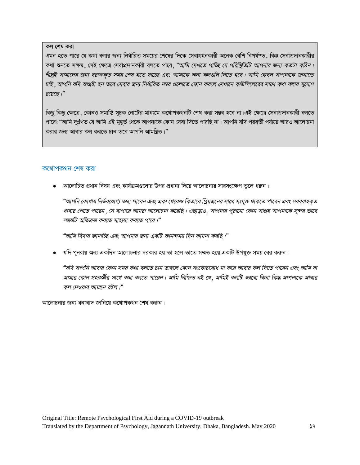#### কল শেষ করা

এমন হতে পারে যে কথা বলার জন্য নির্ধারিত সময়ের শেষের দিকে সেবাগ্রহনকারী অনেক বেশি বিপর্যশত, কিন্তু সেবাপ্রদানকারীর কথা শুনতে সক্ষম, সেই ক্ষেত্রে সেবাপ্রদানকারী বলতে পারে, "*আমি দেখতে পাচ্ছি যে পরিস্থিতিটি আপনার জন্য কতটা কঠিন। শীঘ্রই আমাদের জন্য বরাদ্দক্*ত সময় শেষ হতে যাচ্ছে এবং আমাকে অন্য কলগুলি নিতে হবে। আমি কেবল আপনাকে জানাতে *চাই* , আপনি যদি আগ্রহী হন তবে সেবার জন্য নির্ধারিত নম্বর গুলোতে ফোন করলে সেখানে কাউন্সিলেরের সাথে কথা বলার সুযোগ *i‡q‡Q|Ó*

কিছু কিছু ক্ষেত্রে, কোনও সমাপ্তি সূচক নোটের মাধ্যমে কথোপকথনটি শেষ করা সম্ভব হবে না।এই ক্ষেত্রে সেবাপ্রদানকারী বলতে পারেঃ "আমি দুঃখিত যে আমি এই মুহূৰ্ত থেকে আপনাকে কোন সেবা দিতে পারছি না। আপনি যদি পরবর্তী পর্যায়ে আরও আলোচনা করার জন্য আবার কল করতে চান তবে আপনি আমন্ত্রিত।"

#### কথোপকথন শেষ করা

• আলোচিত প্রধান বিষয় এবং কার্যক্রমগুলোর উপর প্রধান্য দিয়ে আলোচনার সারসংক্ষেপ তুলে ধরুন।

"আপনি কোথায় নিৰ্ভরযোগ্য তথ্য পাবেন এবং একা থেকেও কিভাবে প্রিয়জনের সাথে সংযুক্ত থাকতে পারেন এবং সরবরাহকৃত খাবার পেতে পারেন ়সে ব্যপারে আমরা আলোচনা করেছি। এছাড়াও , আপনার পুরানো কোন আগ্রহ আপনাকে সুন্দর ভাবে সময়টি অতিক্রম করতে সাহায্য করতে পারে।**"** 

 $\lq$ "আমি বিদায় জানাচ্ছি এবং আপনার জন্য একটি আনন্দময় দিন কামনা করছি।"

• যদি পুনরায় অন্য একদিন আলোচনার দরকার হয় তা হলে তাতে সম্মত হয়ে একটি উপযুক্ত সময় বের করুন।

"যদি আপনি আবার কোন সময় কথা বলতে চান তাহলে কোন সংকোচবোধ না করে আবার কল দিতে পারেন এবং আমি বা *Avargi Avgri mang mangari mang mana i pilik hara dan kara kara kara kara kara kara ai kara ai kara ai dan ai da কল দেওয়ার আমন্ত্রন রইল ৷*"

আলোচনার জন্য ধন্যবাদ জানিয়ে কথোপকথন শেষ করুন।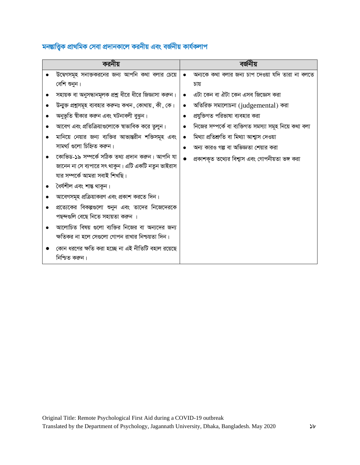# মনম্ভাত্ত্বিক প্ৰাথমিক সেবা প্ৰদানকালে করনীয় এবং বর্জনীয় কার্যকলাপ

| করনীয় |                                                         | বৰ্জনীয় |                                                       |  |
|--------|---------------------------------------------------------|----------|-------------------------------------------------------|--|
|        | উদ্বেগসমূহ সনাক্তকরনের জন্য আপনি কথা বলার চেয়ে         |          | অন্যকে কথা বলার জন্য চাপ দেওয়া যদি তারা না বলতে      |  |
|        | বেশি শুনুন।                                             |          | চায়                                                  |  |
|        | সহায়ক বা অনুসন্ধানমূলক প্রশ্ন ধীরে ধীরে জিজ্ঞাসা করুন। |          | এটা কেন বা ঐটা কেন এসব জিজ্ঞেস করা                    |  |
|        | উন্মুক্ত প্রশ্নসমূহ ব্যবহার করুনঃ কখন, কোথায়, কী, কে।  |          | অতিরিক্ত সমালোচনা (judgemental) করা                   |  |
|        | অনুভূতি স্বীকার করুন এবং ঘটনাবলী বুঝুন।                 |          | প্রযুক্তিগত পরিভাষা ব্যবহার করা                       |  |
|        | আবেগ এবং প্রতিক্রিয়াগুলোকে স্বাভাবিক করে তুলুন।        |          | নিজের সম্পর্কে বা ব্যক্তিগত সমস্যা সমূহ নিয়ে কথা বলা |  |
|        | মানিয়ে নেয়ার জন্য ব্যক্তির আভ্যন্তরীন শক্তিসমূহ এবং   |          | মিথ্যা প্ৰতিশ্ৰুতি বা মিথ্যা আশ্বাস দেওয়া            |  |
|        | সামৰ্থ্য গুলো চিহ্নিত করুন।                             |          | অন্য কারও গল্প বা অভিজ্ঞতা শেয়ার করা                 |  |
|        | কোভিড-১৯ সম্পৰ্কে সঠিক তথ্য প্ৰদান করুন। আপনি যা        |          | প্রকাশকৃত তথ্যের বিশ্বাস এবং গোপনীয়তা ভঙ্গ করা       |  |
|        | জানেন না সে ব্যপারে সৎ থাকুন। এটি একটি নতুন ভাইরাস      |          |                                                       |  |
|        | যার সম্পর্কে আমরা সবাই শিখছি।                           |          |                                                       |  |
|        | ধৈৰ্যশীল এবং শান্ত থাকুন।                               |          |                                                       |  |
|        | আবেগসমূহ প্রক্রিয়াকরণ এবং প্রকাশ করতে দিন।             |          |                                                       |  |
|        | প্রত্যেকের বিকল্পগুলো শুনুন এবং তাদের নিজেদেরকে         |          |                                                       |  |
|        | পছন্দগুলি বেছে নিতে সহায়তা করুন ।                      |          |                                                       |  |
|        | আলোচিত বিষয় গুলো ব্যক্তির নিজের বা অন্যদের জন্য        |          |                                                       |  |
|        | ক্ষতিকর না হলে সেগুলো গোপন রাখার নিশ্চয়তা দিন।         |          |                                                       |  |
|        | কোন ধরণের ক্ষতি করা হচ্ছে না এই নীতিটি বহাল রয়েছে      |          |                                                       |  |
|        | নিশ্চিত করুন।                                           |          |                                                       |  |